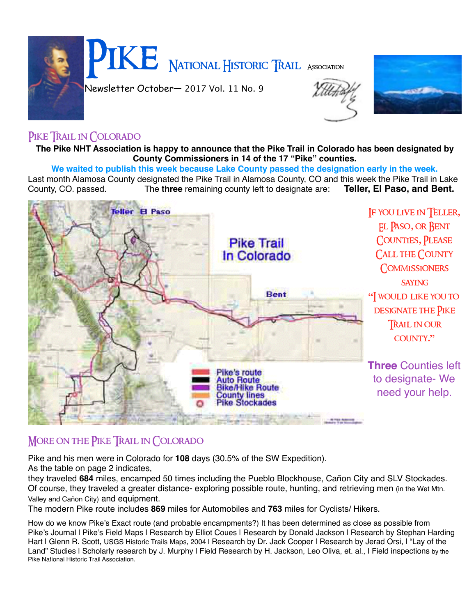



## PIKE TRAIL IN COLORADO

**The Pike NHT Association is happy to announce that the Pike Trail in Colorado has been designated by County Commissioners in 14 of the 17 "Pike" counties.**

**We waited to publish this week because Lake County passed the designation early in the week.** 

Last month Alamosa County designated the Pike Trail in Alamosa County, CO and this week the Pike Trail in Lake<br>County, CO. passed. The three remaining county left to designate are: Teller, El Paso, and Bent. County, CO. passed. The **three** remaining county left to designate are:



## MORE ON THE PIKE TRAIL IN COLORADO

Pike and his men were in Colorado for **108** days (30.5% of the SW Expedition).

As the table on page 2 indicates,

they traveled **684** miles, encamped 50 times including the Pueblo Blockhouse, Cañon City and SLV Stockades. Of course, they traveled a greater distance- exploring possible route, hunting, and retrieving men (in the Wet Mtn. Valley and Cañon City) and equipment.

The modern Pike route includes **869** miles for Automobiles and **763** miles for Cyclists/ Hikers.

How do we know Pike's Exact route (and probable encampments?) It has been determined as close as possible from Pike's Journal I Pike's Field Maps I Research by Elliot Coues I Research by Donald Jackson I Research by Stephan Harding Hart I Glenn R. Scott, USGS Historic Trails Maps, 2004 | Research by Dr. Jack Cooper | Research by Jerad Orsi, I "Lay of the Land" Studies I Scholarly research by J. Murphy I Field Research by H. Jackson, Leo Oliva, et. al., I Field inspections by the Pike National Historic Trail Association.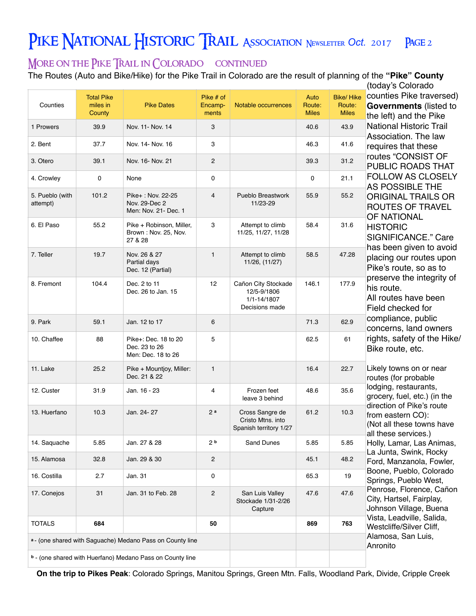# PIKE NATIONAL HISTORIC TRAIL ASSOCIATION NEWSLETTER OCt. 2017 PAGE 2

## More on the Pike Trail in Colorado continued

The Routes (Auto and Bike/Hike) for the Pike Trail in Colorado are the result of planning of the **"Pike" County**

|                                                           |                                         |                                                             |                               |                                                                     |                                |                                            | (today's Colorado                                                                                                                                                                                                                                                                              |
|-----------------------------------------------------------|-----------------------------------------|-------------------------------------------------------------|-------------------------------|---------------------------------------------------------------------|--------------------------------|--------------------------------------------|------------------------------------------------------------------------------------------------------------------------------------------------------------------------------------------------------------------------------------------------------------------------------------------------|
| Counties                                                  | <b>Total Pike</b><br>miles in<br>County | <b>Pike Dates</b>                                           | Pike # of<br>Encamp-<br>ments | Notable occurrences                                                 | Auto<br>Route:<br><b>Miles</b> | <b>Bike/Hike</b><br>Route:<br><b>Miles</b> | counties Pike traversed)<br>Governments (listed to<br>the left) and the Pike                                                                                                                                                                                                                   |
| 1 Prowers                                                 | 39.9                                    | Nov. 11 Nov. 14                                             | 3                             |                                                                     | 40.6                           | 43.9                                       | <b>National Historic Trail</b><br>Association. The law                                                                                                                                                                                                                                         |
| 2. Bent                                                   | 37.7                                    | Nov. 14 Nov. 16                                             | 3                             |                                                                     | 46.3                           | 41.6                                       | requires that these                                                                                                                                                                                                                                                                            |
| 3. Otero                                                  | 39.1                                    | Nov. 16- Nov. 21                                            | $\overline{2}$                |                                                                     | 39.3                           | 31.2                                       | routes "CONSIST OF<br>PUBLIC ROADS THAT<br><b>FOLLOW AS CLOSELY</b><br><b>AS POSSIBLE THE</b><br><b>ORIGINAL TRAILS OR</b><br><b>ROUTES OF TRAVEL</b><br>OF NATIONAL<br><b>HISTORIC</b><br>SIGNIFICANCE." Care<br>has been given to avoid<br>placing our routes upon<br>Pike's route, so as to |
| 4. Crowley                                                | 0                                       | None                                                        | 0                             |                                                                     | 0                              | 21.1                                       |                                                                                                                                                                                                                                                                                                |
| 5. Pueblo (with<br>attempt)                               | 101.2                                   | Pike+: Nov. 22-25<br>Nov. 29-Dec 2<br>Men: Nov. 21- Dec. 1  | $\overline{4}$                | Pueblo Breastwork<br>11/23-29                                       | 55.9                           | 55.2                                       |                                                                                                                                                                                                                                                                                                |
| 6. El Paso                                                | 55.2                                    | Pike + Robinson, Miller,<br>Brown: Nov. 25, Nov.<br>27 & 28 | 3                             | Attempt to climb<br>11/25, 11/27, 11/28                             | 58.4                           | 31.6                                       |                                                                                                                                                                                                                                                                                                |
| 7. Teller                                                 | 19.7                                    | Nov. 26 & 27<br>Partial days<br>Dec. 12 (Partial)           | $\mathbf{1}$                  | Attempt to climb<br>11/26, (11/27)                                  | 58.5                           | 47.28                                      |                                                                                                                                                                                                                                                                                                |
| 8. Fremont                                                | 104.4                                   | Dec. 2 to 11<br>Dec. 26 to Jan. 15                          | 12                            | Cañon City Stockade<br>12/5-9/1806<br>1/1-14/1807<br>Decisions made | 146.1                          | 177.9                                      | preserve the integrity of<br>his route.<br>All routes have been<br>Field checked for                                                                                                                                                                                                           |
| 9. Park                                                   | 59.1                                    | Jan. 12 to 17                                               | 6                             |                                                                     | 71.3                           | 62.9                                       | compliance, public<br>concerns, land owners                                                                                                                                                                                                                                                    |
| 10. Chaffee                                               | 88                                      | Pike+: Dec. 18 to 20<br>Dec. 23 to 26<br>Men: Dec. 18 to 26 | 5                             |                                                                     | 62.5                           | 61                                         | rights, safety of the Hike/<br>Bike route, etc.                                                                                                                                                                                                                                                |
| 11. Lake                                                  | 25.2                                    | Pike + Mountjoy, Miller:<br>Dec. 21 & 22                    | $\mathbf{1}$                  |                                                                     | 16.4                           | 22.7                                       | Likely towns on or near<br>routes (for probable                                                                                                                                                                                                                                                |
| 12. Custer                                                | 31.9                                    | Jan. 16 - 23                                                | 4                             | Frozen feet<br>leave 3 behind                                       | 48.6                           | 35.6                                       | lodging, restaurants,<br>grocery, fuel, etc.) (in the                                                                                                                                                                                                                                          |
| 13. Huerfano                                              | 10.3                                    | Jan. 24-27                                                  | 2a                            | Cross Sangre de<br>Cristo Mtns. into<br>Spanish territory 1/27      | 61.2                           | 10.3                                       | direction of Pike's route<br>from eastern CO):<br>(Not all these towns have<br>all these services.)                                                                                                                                                                                            |
| 14. Saquache                                              | 5.85                                    | Jan. 27 & 28                                                | 2 <sub>b</sub>                | Sand Dunes                                                          | 5.85                           | 5.85                                       | Holly, Lamar, Las Animas,                                                                                                                                                                                                                                                                      |
| 15. Alamosa                                               | 32.8                                    | Jan. 29 & 30                                                | $\overline{\mathbf{c}}$       |                                                                     | 45.1                           | 48.2                                       | La Junta, Swink, Rocky<br>Ford, Manzanola, Fowler,                                                                                                                                                                                                                                             |
| 16. Costilla                                              | 2.7                                     | Jan. 31                                                     | 0                             |                                                                     | 65.3                           | 19                                         | Boone, Pueblo, Colorado<br>Springs, Pueblo West,                                                                                                                                                                                                                                               |
| 17. Conejos                                               | 31                                      | Jan. 31 to Feb. 28                                          | $\overline{\mathbf{c}}$       | San Luis Valley<br>Stockade 1/31-2/26<br>Capture                    | 47.6                           | 47.6                                       | Penrose, Florence, Cañon<br>City, Hartsel, Fairplay,<br>Johnson Village, Buena                                                                                                                                                                                                                 |
| <b>TOTALS</b>                                             | 684                                     |                                                             | 50                            |                                                                     | 869                            | 763                                        | Vista, Leadville, Salida,<br>Westcliffe/Silver Cliff,                                                                                                                                                                                                                                          |
| a - (one shared with Saguache) Medano Pass on County line |                                         |                                                             |                               |                                                                     |                                |                                            | Alamosa, San Luis,<br>Anronito                                                                                                                                                                                                                                                                 |
|                                                           |                                         | b - (one shared with Huerfano) Medano Pass on County line   |                               |                                                                     |                                |                                            |                                                                                                                                                                                                                                                                                                |

**On the trip to Pikes Peak**: Colorado Springs, Manitou Springs, Green Mtn. Falls, Woodland Park, Divide, Cripple Creek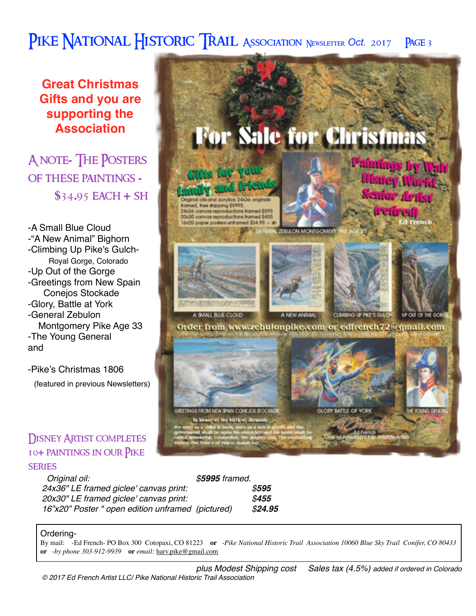## PIKE NATIONAL HISTORIC TRAIL ASSOCIATION NEWSLETTER Oct. 2017 PAGE 3

**Great Christmas Gifts and you are supporting the Association**

A note**-** The Posters of these paintings **- \$**34**.**95 each **+** sh

-A Small Blue Cloud -"A New Animal" Bighorn -Climbing Up Pike's Gulch- Royal Gorge, Colorado -Up Out of the Gorge -Greetings from New Spain Conejos Stockade -Glory, Battle at York -General Zebulon Montgomery Pike Age 33 -The Young General and

-Pike's Christmas 1806

(featured in previous Newsletters)

## **DISNEY ARTIST COMPLETES** 10**+** paintings in our Pike **SERIES**

| Original oil:                                     | \$5995 framed. |         |
|---------------------------------------------------|----------------|---------|
| 24x36" LE framed giclee' canvas print:            |                | \$595   |
| 20x30" LE framed giclee' canvas print:            |                | \$455   |
| 16"x20" Poster " open edition unframed (pictured) |                | \$24.95 |

#### Ordering-

By mail: -Ed French- PO Box 300 Cotopaxi, CO 81223 **or** -*Pike National Historic Trail Association 10060 Blue Sky Trail Conifer, CO 80433*  **or** *-by phone 303-912-9939* **or** *email:* [harv.pike@gmail.com](mailto:harv.pike@gmail.com)

*plus Modest Shipping cost Sales tax (4.5%) added if ordered in Colorado © 2017 Ed French Artist LLC/ Pike National Historic Trail Association*